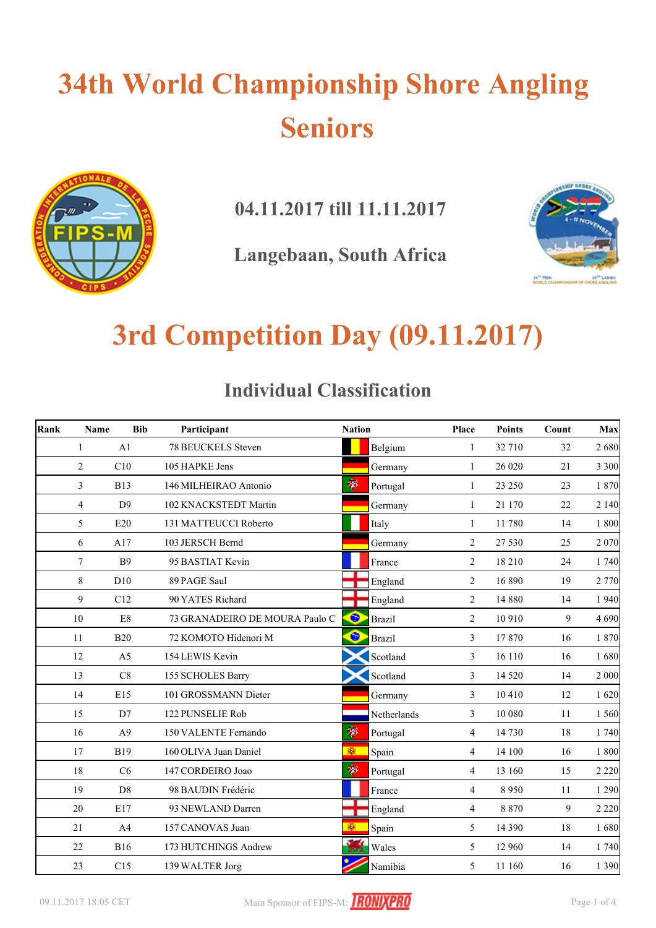

**04.11.2017 till 11.11.2017**

**Langebaan, South Africa**



### **3rd Competition Day (09.11.2017)**

#### **Individual Classification**

| Rank | Name           | <b>Bib</b>     | Participant                    | <b>Nation</b> |               | Place          | <b>Points</b> | Count | Max     |
|------|----------------|----------------|--------------------------------|---------------|---------------|----------------|---------------|-------|---------|
|      | 1              | A1             | 78 BEUCKELS Steven             |               | Belgium       | 1              | 32 710        | 32    | 2680    |
|      | $\overline{2}$ | C10            | 105 HAPKE Jens                 |               | Germany       | 1              | 26 0 20       | 21    | 3 3 0 0 |
|      | 3              | <b>B13</b>     | 146 MILHEIRAO Antonio          | 珣             | Portugal      | $\mathbf{1}$   | 23 250        | 23    | 1870    |
|      | $\overline{4}$ | D <sup>9</sup> | 102 KNACKSTEDT Martin          |               | Germany       | $\mathbf{1}$   | 21 170        | 22    | 2 1 4 0 |
|      | 5              | E20            | 131 MATTEUCCI Roberto          |               | Italy         | $\mathbf{1}$   | 11780         | 14    | 1 800   |
|      | 6              | A17            | 103 JERSCH Bernd               |               | Germany       | 2              | 27 530        | 25    | 2070    |
|      | 7              | <b>B9</b>      | 95 BASTIAT Kevin               |               | France        | 2              | 18 210        | 24    | 1 740   |
|      | 8              | D10            | 89 PAGE Saul                   |               | England       | $\overline{2}$ | 16 890        | 19    | 2 770   |
|      | 9              | C12            | 90 YATES Richard               |               | England       | $\overline{2}$ | 14 8 8 0      | 14    | 1 9 4 0 |
|      | 10             | E8             | 73 GRANADEIRO DE MOURA Paulo C | $\bullet$     | <b>Brazil</b> | 2              | 10 910        | 9     | 4690    |
|      | 11             | <b>B20</b>     | 72 KOMOTO Hidenori M           | $\bullet$     | <b>Brazil</b> | 3              | 17870         | 16    | 1870    |
|      | 12             | A <sub>5</sub> | 154 LEWIS Kevin                |               | Scotland      | $\overline{3}$ | 16 110        | 16    | 1680    |
|      | 13             | C8             | 155 SCHOLES Barry              |               | Scotland      | $\overline{3}$ | 14 5 20       | 14    | 2 000   |
|      | 14             | E15            | 101 GROSSMANN Dieter           |               | Germany       | $\mathfrak{Z}$ | 10410         | 12    | 1620    |
|      | 15             | D7             | 122 PUNSELIE Rob               |               | Netherlands   | $\mathfrak{Z}$ | 10 080        | 11    | 1 560   |
|      | 16             | A <sub>9</sub> | 150 VALENTE Fernando           | 變             | Portugal      | $\overline{4}$ | 14 730        | 18    | 1740    |
|      | 17             | <b>B19</b>     | 160 OLIVA Juan Daniel          | 翮             | Spain         | $\overline{4}$ | 14 100        | 16    | 1800    |
|      | 18             | C6             | 147 CORDEIRO Joao              | Ŵ             | Portugal      | $\overline{4}$ | 13 160        | 15    | 2 2 2 0 |
|      | 19             | D <sub>8</sub> | 98 BAUDIN Frédéric             |               | France        | $\overline{4}$ | 8950          | 11    | 1 2 9 0 |
|      | 20             | E17            | 93 NEWLAND Darren              |               | England       | $\overline{4}$ | 8 8 7 0       | 9     | 2 2 2 0 |
|      | 21             | A4             | 157 CANOVAS Juan               | 櫉             | Spain         | 5              | 14 3 9 0      | 18    | 1680    |
|      | 22             | <b>B16</b>     | 173 HUTCHINGS Andrew           | - 22          | Wales         | 5              | 12 960        | 14    | 1740    |
|      | 23             | C15            | 139 WALTER Jorg                |               | Namibia       | 5              | 11 160        | 16    | 1 3 9 0 |

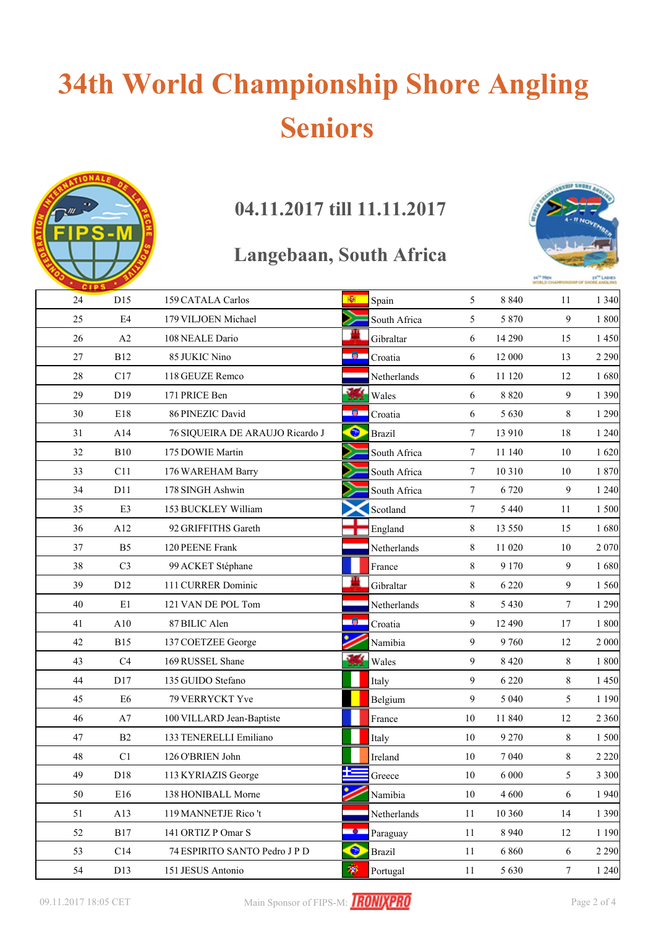

### **04.11.2017 till 11.11.2017**

#### **Langebaan, South Africa**



|    | <b>CIPS</b>    |                                 |           |               |                 |         | WORLD CHAMP      |         |
|----|----------------|---------------------------------|-----------|---------------|-----------------|---------|------------------|---------|
| 24 | D15            | 159 CATALA Carlos               | 图         | Spain         | 5               | 8 8 4 0 | 11               | 1 3 4 0 |
| 25 | $\mathrm{E}4$  | 179 VILJOEN Michael             |           | South Africa  | 5               | 5 8 7 0 | 9                | 1800    |
| 26 | A2             | 108 NEALE Dario                 |           | Gibraltar     | 6               | 14 290  | 15               | 1 4 5 0 |
| 27 | <b>B12</b>     | 85 JUKIC Nino                   | 18.       | Croatia       | 6               | 12 000  | 13               | 2 2 9 0 |
| 28 | C17            | 118 GEUZE Remco                 |           | Netherlands   | 6               | 11 120  | 12               | 1680    |
| 29 | D19            | 171 PRICE Ben                   | у,        | Wales         | 6               | 8 8 2 0 | 9                | 1 3 9 0 |
| 30 | E18            | 86 PINEZIC David                | - 180 -   | Croatia       | 6               | 5 6 3 0 | 8                | 1 2 9 0 |
| 31 | A14            | 76 SIQUEIRA DE ARAUJO Ricardo J | $\bullet$ | <b>Brazil</b> | $7\phantom{.0}$ | 13 910  | 18               | 1 2 4 0 |
| 32 | <b>B10</b>     | 175 DOWIE Martin                |           | South Africa  | $7\phantom{.0}$ | 11 140  | 10               | 1620    |
| 33 | C11            | 176 WAREHAM Barry               |           | South Africa  | $7\phantom{.0}$ | 10 310  | 10               | 1870    |
| 34 | D11            | 178 SINGH Ashwin                |           | South Africa  | $7\phantom{.0}$ | 6 7 20  | $\mathbf{9}$     | 1 2 4 0 |
| 35 | E3             | 153 BUCKLEY William             |           | Scotland      | $7\phantom{.0}$ | 5 4 4 0 | 11               | 1 500   |
| 36 | A12            | 92 GRIFFITHS Gareth             |           | England       | $8\,$           | 13 550  | 15               | 1680    |
| 37 | B <sub>5</sub> | 120 PEENE Frank                 |           | Netherlands   | 8               | 11 020  | 10               | 2 0 7 0 |
| 38 | C <sub>3</sub> | 99 ACKET Stéphane               |           | France        | 8               | 9 1 7 0 | $\mathbf{9}$     | 1680    |
| 39 | D12            | 111 CURRER Dominic              | Ш         | Gibraltar     | $\,8\,$         | 6 2 2 0 | 9                | 1 5 6 0 |
| 40 | E1             | 121 VAN DE POL Tom              |           | Netherlands   | $8\,$           | 5 4 3 0 | $\tau$           | 1 2 9 0 |
| 41 | A10            | 87 BILIC Alen                   | 圈.        | Croatia       | 9               | 12 490  | 17               | 1800    |
| 42 | <b>B15</b>     | 137 COETZEE George              |           | Namibia       | 9               | 9760    | 12               | 2 000   |
| 43 | C4             | 169 RUSSEL Shane                |           | Wales         | 9               | 8 4 2 0 | 8                | 1800    |
| 44 | D17            | 135 GUIDO Stefano               |           | Italy         | 9               | 6 2 2 0 | 8                | 1 4 5 0 |
| 45 | E6             | 79 VERRYCKT Yve                 |           | Belgium       | 9               | 5 0 4 0 | 5                | 1 1 9 0 |
| 46 | A7             | 100 VILLARD Jean-Baptiste       |           | France        | $10\,$          | 11 840  | 12               | 2 3 6 0 |
| 47 | B2             | 133 TENERELLI Emiliano          |           | Italy         | 10              | 9 2 7 0 | $\,8\,$          | 1 500   |
| 48 | C1             | 126 O'BRIEN John                |           | Ireland       | $10\,$          | 7 0 4 0 | 8                | 2 2 2 0 |
| 49 | D18            | 113 KYRIAZIS George             | ╄═        | Greece        | 10              | 6 0 0 0 | 5                | 3 3 0 0 |
| 50 | E16            | 138 HONIBALL Morne              |           | Namibia       | $10\,$          | 4 600   | 6                | 1940    |
| 51 | A13            | 119 MANNETJE Rico't             |           | Netherlands   | 11              | 10 360  | 14               | 1 3 9 0 |
| 52 | <b>B17</b>     | 141 ORTIZ P Omar S              | - 81      | Paraguay      | 11              | 8 9 4 0 | 12               | 1 1 9 0 |
| 53 | C14            | 74 ESPIRITO SANTO Pedro J P D   | $\bullet$ | <b>Brazil</b> | 11              | 6 8 6 0 | $\sqrt{6}$       | 2 2 9 0 |
| 54 | D13            | 151 JESUS Antonio               | 萝         | Portugal      | 11              | 5 6 3 0 | $\boldsymbol{7}$ | 1 2 4 0 |

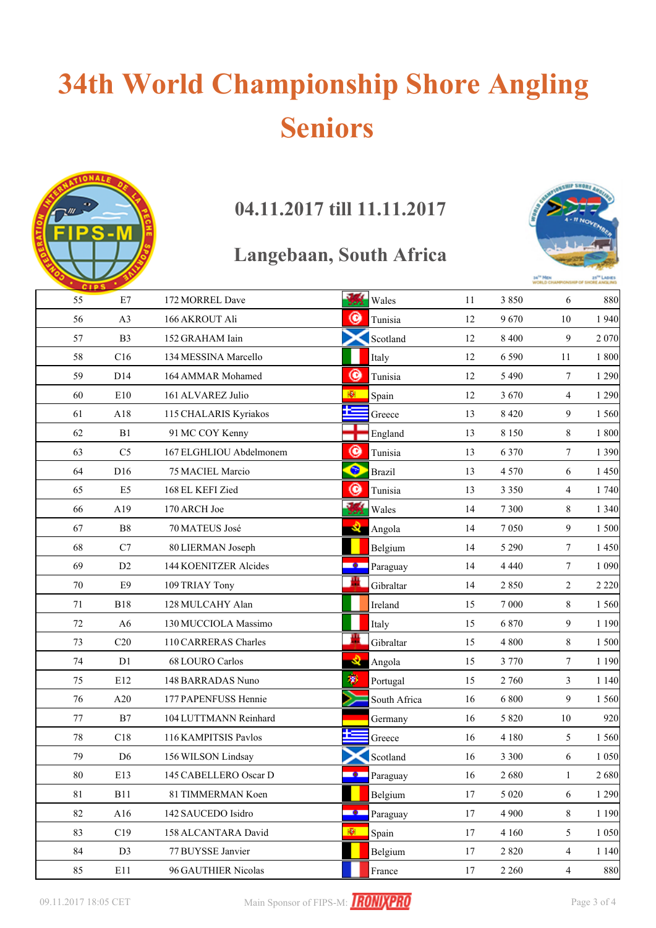

### **04.11.2017 till 11.11.2017**

#### **Langebaan, South Africa**



| 55     | E7              | 172 MORREL Dave         | a sa<br>Wales<br>فعفع      | 11                 | 3850    | 6              | 880     |
|--------|-----------------|-------------------------|----------------------------|--------------------|---------|----------------|---------|
| 56     | A3              | 166 AKROUT Ali          | C                          | Tunisia<br>12      | 9670    | 10             | 1 9 4 0 |
| 57     | B <sub>3</sub>  | 152 GRAHAM Iain         |                            | Scotland<br>12     | 8 4 0 0 | 9              | 2 0 7 0 |
| 58     | C16             | 134 MESSINA Marcello    | Italy                      | 12                 | 6 5 9 0 | 11             | 1800    |
| 59     | D14             | 164 AMMAR Mohamed       | ◉                          | 12<br>Tunisia      | 5 4 9 0 | $\tau$         | 1 2 9 0 |
| 60     | E10             | 161 ALVAREZ Julio       | 图<br>Spain                 | 12                 | 3670    | 4              | 1 2 9 0 |
| 61     | A18             | 115 CHALARIS Kyriakos   |                            | 13<br>Greece       | 8 4 2 0 | 9              | 1 560   |
| 62     | B1              | 91 MC COY Kenny         |                            | England<br>13      | 8 1 5 0 | 8              | 1800    |
| 63     | C <sub>5</sub>  | 167 ELGHLIOU Abdelmonem | ◉                          | Tunisia<br>13      | 6 3 7 0 | $\tau$         | 1 3 9 0 |
| 64     | D <sub>16</sub> | 75 MACIEL Marcio        | $\bullet$<br><b>Brazil</b> | 13                 | 4 5 7 0 | 6              | 1 4 5 0 |
| 65     | E5              | 168 EL KEFI Zied        | ◉                          | Tunisia<br>13      | 3 3 5 0 | 4              | 1 740   |
| 66     | A19             | 170 ARCH Joe            | 鳻<br>Wales                 | 14                 | 7 3 0 0 | 8              | 1 3 4 0 |
| 67     | ${\bf B8}$      | 70 MATEUS José          | Q.                         | 14<br>Angola       | 7050    | 9              | 1 500   |
| 68     | C7              | 80 LIERMAN Joseph       |                            | Belgium<br>14      | 5 2 9 0 | $\tau$         | 1 4 5 0 |
| 69     | D <sub>2</sub>  | 144 KOENITZER Alcides   | - 0 -                      | Paraguay<br>14     | 4 4 4 0 | $\tau$         | 1 0 9 0 |
| 70     | E9              | 109 TRIAY Tony          |                            | Gibraltar<br>14    | 2850    | $\overline{c}$ | 2 2 2 0 |
| 71     | <b>B18</b>      | 128 MULCAHY Alan        |                            | Ireland<br>15      | 7 0 0 0 | 8              | 1 5 6 0 |
| 72     | A <sub>6</sub>  | 130 MUCCIOLA Massimo    | Italy                      | 15                 | 6 8 7 0 | 9              | 1 1 9 0 |
| 73     | C20             | 110 CARRERAS Charles    |                            | Gibraltar<br>15    | 4 800   | 8              | 1500    |
| 74     | D1              | 68 LOURO Carlos         | <b>Q</b>                   | 15<br>Angola       | 3 7 7 0 | $\tau$         | 1 1 9 0 |
| 75     | E12             | 148 BARRADAS Nuno       | 變                          | 15<br>Portugal     | 2 760   | 3              | 1 1 4 0 |
| 76     | A20             | 177 PAPENFUSS Hennie    |                            | 16<br>South Africa | 6 800   | 9              | 1 560   |
| 77     | B7              | 104 LUTTMANN Reinhard   |                            | 16<br>Germany      | 5 8 2 0 | 10             | 920     |
| $78\,$ | C18             | 116 KAMPITSIS Pavlos    |                            | Greece<br>16       | 4 1 8 0 | 5              | 1 560   |
| 79     | D <sub>6</sub>  | 156 WILSON Lindsay      |                            | Scotland<br>16     | 3 3 0 0 | 6              | 1 0 5 0 |
| 80     | E13             | 145 CABELLERO Oscar D   | - 0 -                      | 16<br>Paraguay     | 2680    | 1              | 2680    |
| 81     | <b>B11</b>      | 81 TIMMERMAN Koen       |                            | 17<br>Belgium      | 5 0 20  | 6              | 1 2 9 0 |
| $82\,$ | A16             | 142 SAUCEDO Isidro      | $\bullet$                  | 17<br>Paraguay     | 4 9 0 0 | $8\,$          | 1 1 9 0 |
| 83     | C19             | 158 ALCANTARA David     | 柳<br>Spain                 | 17                 | 4 1 6 0 | 5              | 1 0 5 0 |
| 84     | D <sub>3</sub>  | 77 BUYSSE Janvier       |                            | 17<br>Belgium      | 2 8 2 0 | $\overline{4}$ | 1 1 4 0 |
| 85     | E11             | 96 GAUTHIER Nicolas     |                            | 17<br>France       | 2 2 6 0 | 4              | 880     |